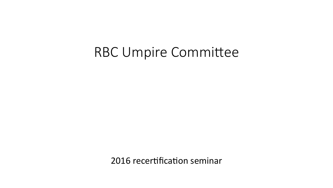### **RBC Umpire Committee**

2016 recertification seminar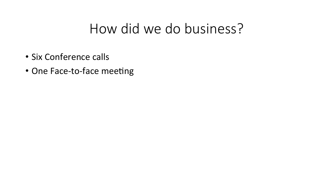## How did we do business?

- · Six Conference calls
- One Face-to-face meeting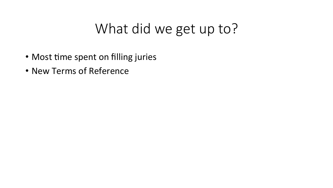# What did we get up to?

- Most time spent on filling juries
- New Terms of Reference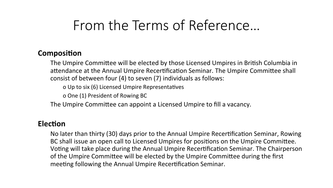# From the Terms of Reference…

#### **Composition**

The Umpire Committee will be elected by those Licensed Umpires in British Columbia in attendance at the Annual Umpire Recertification Seminar. The Umpire Committee shall consist of between four  $(4)$  to seven  $(7)$  individuals as follows:

o Up to six (6) Licensed Umpire Representatives

o One (1) President of Rowing BC

The Umpire Committee can appoint a Licensed Umpire to fill a vacancy.

#### **Election**

No later than thirty (30) days prior to the Annual Umpire Recertification Seminar, Rowing BC shall issue an open call to Licensed Umpires for positions on the Umpire Committee. Voting will take place during the Annual Umpire Recertification Seminar. The Chairperson of the Umpire Committee will be elected by the Umpire Committee during the first meeting following the Annual Umpire Recertification Seminar.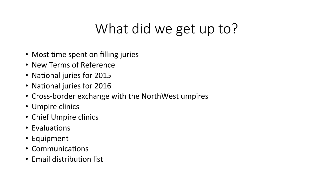# What did we get up to?

- Most time spent on filling juries
- New Terms of Reference
- National juries for 2015
- National juries for 2016
- Cross-border exchange with the NorthWest umpires
- Umpire clinics
- Chief Umpire clinics
- Evaluations
- Equipment
- Communications
- Email distribution list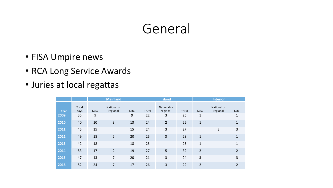# General

- FISA Umpire news
- RCA Long Service Awards
- Juries at local regattas

|      |               | <b>Mainland</b> |                         |       | <b>Island</b> |                         |       | <b>Interior</b> |                         |                |
|------|---------------|-----------------|-------------------------|-------|---------------|-------------------------|-------|-----------------|-------------------------|----------------|
| Year | Total<br>days | Local           | National or<br>regional | Total | Local         | National or<br>regional | Total | Local           | National or<br>regional | Total          |
| 2009 | 35            | 9               |                         | 9     | 22            | 3                       | 25    | $\mathbf{1}$    |                         | 1              |
| 2010 | 40            | 10              | 3                       | 13    | 24            | $\overline{2}$          | 26    | $\mathbf{1}$    |                         | $\mathbf{1}$   |
| 2011 | 45            | 15              |                         | 15    | 24            | 3                       | 27    |                 | 3                       | 3              |
| 2012 | 49            | 18              | $\overline{2}$          | 20    | 25            | $\overline{3}$          | 28    | $\mathbf{1}$    |                         | 1              |
| 2013 | 42            | 18              |                         | 18    | 23            |                         | 23    | 1               |                         | $\mathbf{1}$   |
| 2014 | 53            | 17              | $\overline{2}$          | 19    | 27            | 5                       | 32    | $\overline{2}$  |                         | $\overline{2}$ |
| 2015 | 47            | 13              | 7                       | 20    | 21            | 3                       | 24    | 3               |                         | 3              |
| 2016 | 52            | 24              | $\overline{7}$          | 17    | 26            | 3                       | 22    | $\overline{2}$  |                         | $\overline{2}$ |